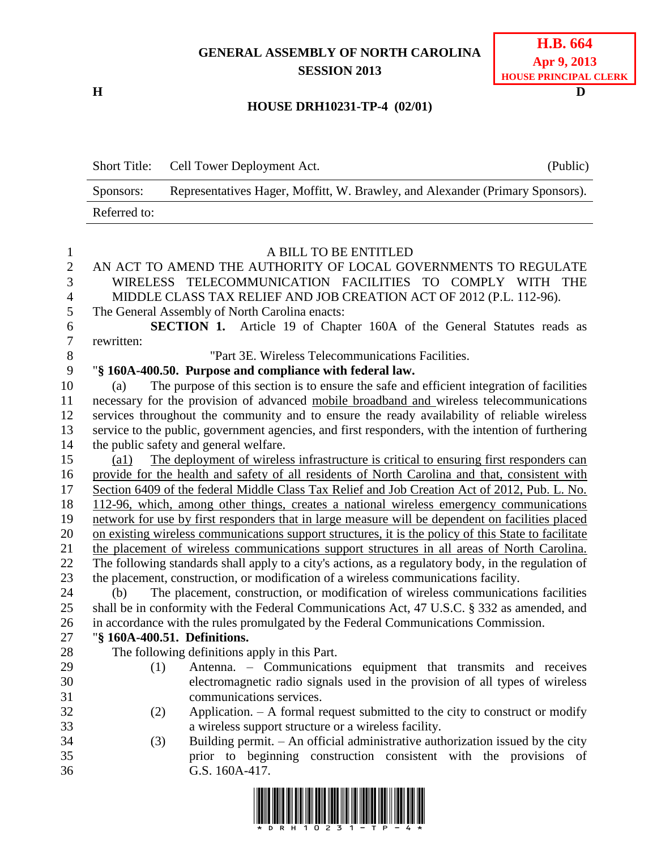## **GENERAL ASSEMBLY OF NORTH CAROLINA SESSION 2013**

**H D**

| <b>H.B.</b> 664              |
|------------------------------|
| Apr 9, 2013                  |
| <b>HOUSE PRINCIPAL CLERK</b> |

## **HOUSE DRH10231-TP-4 (02/01)**

Short Title: Cell Tower Deployment Act. (Public) Sponsors: Representatives Hager, Moffitt, W. Brawley, and Alexander (Primary Sponsors). Referred to:

| $\mathbf{1}$   | A BILL TO BE ENTITLED                                                                                        |
|----------------|--------------------------------------------------------------------------------------------------------------|
| $\overline{2}$ | AN ACT TO AMEND THE AUTHORITY OF LOCAL GOVERNMENTS TO REGULATE                                               |
| 3              | WIRELESS TELECOMMUNICATION FACILITIES TO COMPLY WITH THE                                                     |
| $\overline{4}$ | MIDDLE CLASS TAX RELIEF AND JOB CREATION ACT OF 2012 (P.L. 112-96).                                          |
| 5              | The General Assembly of North Carolina enacts:                                                               |
| 6              | <b>SECTION 1.</b> Article 19 of Chapter 160A of the General Statutes reads as                                |
| $\tau$         | rewritten:                                                                                                   |
| 8              | "Part 3E. Wireless Telecommunications Facilities.                                                            |
| 9              | "§ 160A-400.50. Purpose and compliance with federal law.                                                     |
| 10             | The purpose of this section is to ensure the safe and efficient integration of facilities<br>(a)             |
| 11             | necessary for the provision of advanced mobile broadband and wireless telecommunications                     |
| 12             | services throughout the community and to ensure the ready availability of reliable wireless                  |
| 13             | service to the public, government agencies, and first responders, with the intention of furthering           |
| 14             | the public safety and general welfare.                                                                       |
| 15             | The deployment of wireless infrastructure is critical to ensuring first responders can<br>$\left( a1\right)$ |
| 16             | provide for the health and safety of all residents of North Carolina and that, consistent with               |
| 17             | Section 6409 of the federal Middle Class Tax Relief and Job Creation Act of 2012, Pub. L. No.                |
| 18             | 112-96, which, among other things, creates a national wireless emergency communications                      |
| 19             | network for use by first responders that in large measure will be dependent on facilities placed             |
| 20             | on existing wireless communications support structures, it is the policy of this State to facilitate         |
| 21             | the placement of wireless communications support structures in all areas of North Carolina.                  |
| 22             | The following standards shall apply to a city's actions, as a regulatory body, in the regulation of          |
| 23             | the placement, construction, or modification of a wireless communications facility.                          |
| 24             | The placement, construction, or modification of wireless communications facilities<br>(b)                    |
| 25             | shall be in conformity with the Federal Communications Act, 47 U.S.C. § 332 as amended, and                  |
| 26             | in accordance with the rules promulgated by the Federal Communications Commission.                           |
| 27             | "§ 160A-400.51. Definitions.                                                                                 |
| 28             | The following definitions apply in this Part.                                                                |
| 29             | Antenna. - Communications equipment that transmits and receives<br>(1)                                       |
| 30             | electromagnetic radio signals used in the provision of all types of wireless                                 |
| 31             | communications services.                                                                                     |
| 32             | Application. $- A$ formal request submitted to the city to construct or modify<br>(2)                        |
| 33             | a wireless support structure or a wireless facility.                                                         |
| 34             | Building permit. - An official administrative authorization issued by the city<br>(3)                        |
| 35             | prior to beginning construction consistent with the provisions of                                            |
| 36             | G.S. 160A-417.                                                                                               |
|                |                                                                                                              |

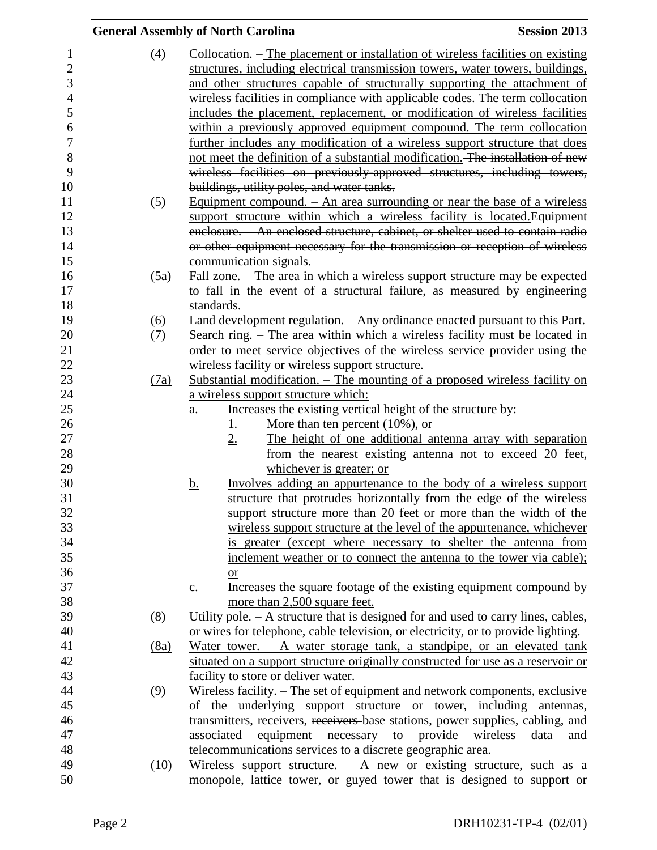|      | <b>General Assembly of North Carolina</b>                                                                                                          | <b>Session 2013</b> |
|------|----------------------------------------------------------------------------------------------------------------------------------------------------|---------------------|
| (4)  | Collocation. – The placement or installation of wireless facilities on existing                                                                    |                     |
|      | structures, including electrical transmission towers, water towers, buildings,                                                                     |                     |
|      | and other structures capable of structurally supporting the attachment of                                                                          |                     |
|      | wireless facilities in compliance with applicable codes. The term collocation                                                                      |                     |
|      | includes the placement, replacement, or modification of wireless facilities                                                                        |                     |
|      | within a previously approved equipment compound. The term collocation                                                                              |                     |
|      | further includes any modification of a wireless support structure that does                                                                        |                     |
|      | not meet the definition of a substantial modification. The installation of new                                                                     |                     |
|      | wireless facilities on previously-approved structures, including towers,                                                                           |                     |
|      | buildings, utility poles, and water tanks.                                                                                                         |                     |
| (5)  | Equipment compound. $-$ An area surrounding or near the base of a wireless                                                                         |                     |
|      | support structure within which a wireless facility is located. Equipment                                                                           |                     |
|      | enclosure. An enclosed structure, cabinet, or shelter used to contain radio                                                                        |                     |
|      | or other equipment necessary for the transmission or reception of wireless                                                                         |                     |
|      | communication signals.                                                                                                                             |                     |
| (5a) | Fall zone. – The area in which a wireless support structure may be expected                                                                        |                     |
|      | to fall in the event of a structural failure, as measured by engineering                                                                           |                     |
|      | standards.                                                                                                                                         |                     |
| (6)  | Land development regulation. - Any ordinance enacted pursuant to this Part.                                                                        |                     |
| (7)  | Search ring. – The area within which a wireless facility must be located in                                                                        |                     |
|      | order to meet service objectives of the wireless service provider using the                                                                        |                     |
|      | wireless facility or wireless support structure.                                                                                                   |                     |
| (7a) | Substantial modification. - The mounting of a proposed wireless facility on                                                                        |                     |
|      | a wireless support structure which:                                                                                                                |                     |
|      | Increases the existing vertical height of the structure by:<br>$\underline{a}$ .                                                                   |                     |
|      | More than ten percent $(10\%)$ , or<br><u>l.</u>                                                                                                   |                     |
|      | 2.<br>The height of one additional antenna array with separation                                                                                   |                     |
|      | from the nearest existing antenna not to exceed 20 feet,                                                                                           |                     |
|      | whichever is greater; or                                                                                                                           |                     |
|      | Involves adding an appurtenance to the body of a wireless support<br><u>b.</u>                                                                     |                     |
|      | structure that protrudes horizontally from the edge of the wireless                                                                                |                     |
|      | support structure more than 20 feet or more than the width of the                                                                                  |                     |
|      | wireless support structure at the level of the appurtenance, whichever                                                                             |                     |
|      | is greater (except where necessary to shelter the antenna from                                                                                     |                     |
|      | inclement weather or to connect the antenna to the tower via cable);                                                                               |                     |
|      | <b>or</b>                                                                                                                                          |                     |
|      | Increases the square footage of the existing equipment compound by<br>$\underline{c}$ .                                                            |                     |
|      | more than 2,500 square feet.                                                                                                                       |                     |
| (8)  | Utility pole. $- A$ structure that is designed for and used to carry lines, cables,                                                                |                     |
|      | or wires for telephone, cable television, or electricity, or to provide lighting.                                                                  |                     |
| (8a) | Water tower. $-$ A water storage tank, a standpipe, or an elevated tank                                                                            |                     |
|      | situated on a support structure originally constructed for use as a reservoir or                                                                   |                     |
|      | facility to store or deliver water.                                                                                                                |                     |
| (9)  | Wireless facility. - The set of equipment and network components, exclusive                                                                        |                     |
|      | of the underlying support structure or tower, including antennas,                                                                                  |                     |
|      | transmitters, receivers, receivers base stations, power supplies, cabling, and<br>equipment necessary to provide<br>associated<br>wireless<br>data |                     |
|      |                                                                                                                                                    | and                 |
| (10) | telecommunications services to a discrete geographic area.<br>Wireless support structure. $-$ A new or existing structure, such as a               |                     |
|      | monopole, lattice tower, or guyed tower that is designed to support or                                                                             |                     |
|      |                                                                                                                                                    |                     |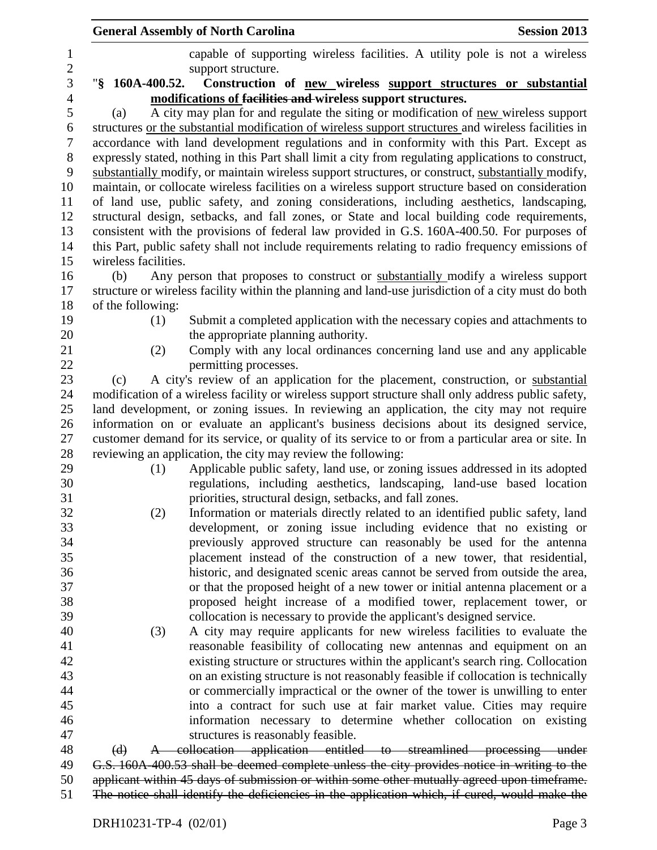|                      | <b>General Assembly of North Carolina</b>                                                                                                                     | <b>Session 2013</b> |
|----------------------|---------------------------------------------------------------------------------------------------------------------------------------------------------------|---------------------|
|                      | capable of supporting wireless facilities. A utility pole is not a wireless                                                                                   |                     |
|                      | support structure.                                                                                                                                            |                     |
| "§ 160A-400.52.      | Construction of new wireless support structures or substantial                                                                                                |                     |
|                      | modifications of facilities and wireless support structures.                                                                                                  |                     |
| (a)                  | A city may plan for and regulate the siting or modification of new wireless support                                                                           |                     |
|                      | structures or the substantial modification of wireless support structures and wireless facilities in                                                          |                     |
|                      | accordance with land development regulations and in conformity with this Part. Except as                                                                      |                     |
|                      | expressly stated, nothing in this Part shall limit a city from regulating applications to construct,                                                          |                     |
|                      | substantially modify, or maintain wireless support structures, or construct, substantially modify,                                                            |                     |
|                      | maintain, or collocate wireless facilities on a wireless support structure based on consideration                                                             |                     |
|                      | of land use, public safety, and zoning considerations, including aesthetics, landscaping,                                                                     |                     |
|                      | structural design, setbacks, and fall zones, or State and local building code requirements,                                                                   |                     |
|                      | consistent with the provisions of federal law provided in G.S. 160A-400.50. For purposes of                                                                   |                     |
|                      | this Part, public safety shall not include requirements relating to radio frequency emissions of                                                              |                     |
| wireless facilities. |                                                                                                                                                               |                     |
| (b)                  | Any person that proposes to construct or substantially modify a wireless support                                                                              |                     |
|                      | structure or wireless facility within the planning and land-use jurisdiction of a city must do both                                                           |                     |
| of the following:    |                                                                                                                                                               |                     |
| (1)                  | Submit a completed application with the necessary copies and attachments to                                                                                   |                     |
|                      | the appropriate planning authority.                                                                                                                           |                     |
| (2)                  | Comply with any local ordinances concerning land use and any applicable                                                                                       |                     |
|                      | permitting processes.                                                                                                                                         |                     |
| (c)                  | A city's review of an application for the placement, construction, or substantial                                                                             |                     |
|                      | modification of a wireless facility or wireless support structure shall only address public safety,                                                           |                     |
|                      | land development, or zoning issues. In reviewing an application, the city may not require                                                                     |                     |
|                      | information on or evaluate an applicant's business decisions about its designed service,                                                                      |                     |
|                      | customer demand for its service, or quality of its service to or from a particular area or site. In                                                           |                     |
|                      | reviewing an application, the city may review the following:                                                                                                  |                     |
| (1)                  | Applicable public safety, land use, or zoning issues addressed in its adopted                                                                                 |                     |
|                      | regulations, including aesthetics, landscaping, land-use based location                                                                                       |                     |
|                      | priorities, structural design, setbacks, and fall zones.                                                                                                      |                     |
| (2)                  | Information or materials directly related to an identified public safety, land                                                                                |                     |
|                      | development, or zoning issue including evidence that no existing or                                                                                           |                     |
|                      | previously approved structure can reasonably be used for the antenna                                                                                          |                     |
|                      | placement instead of the construction of a new tower, that residential,                                                                                       |                     |
|                      | historic, and designated scenic areas cannot be served from outside the area,<br>or that the proposed height of a new tower or initial antenna placement or a |                     |
|                      | proposed height increase of a modified tower, replacement tower, or                                                                                           |                     |
|                      | collocation is necessary to provide the applicant's designed service.                                                                                         |                     |
| (3)                  | A city may require applicants for new wireless facilities to evaluate the                                                                                     |                     |
|                      | reasonable feasibility of collocating new antennas and equipment on an                                                                                        |                     |
|                      | existing structure or structures within the applicant's search ring. Collocation                                                                              |                     |
|                      | on an existing structure is not reasonably feasible if collocation is technically                                                                             |                     |
|                      | or commercially impractical or the owner of the tower is unwilling to enter                                                                                   |                     |
|                      | into a contract for such use at fair market value. Cities may require                                                                                         |                     |
|                      | information necessary to determine whether collocation on existing                                                                                            |                     |
|                      | structures is reasonably feasible.                                                                                                                            |                     |
| $\Theta$             | A collocation application entitled to streamlined processing under                                                                                            |                     |
|                      | G.S. 160A-400.53 shall be deemed complete unless the city provides notice in writing to the                                                                   |                     |
|                      | applicant within 45 days of submission or within some other mutually agreed upon timeframe.                                                                   |                     |
|                      | The notice shall identify the deficiencies in the application which, if cured, would make the                                                                 |                     |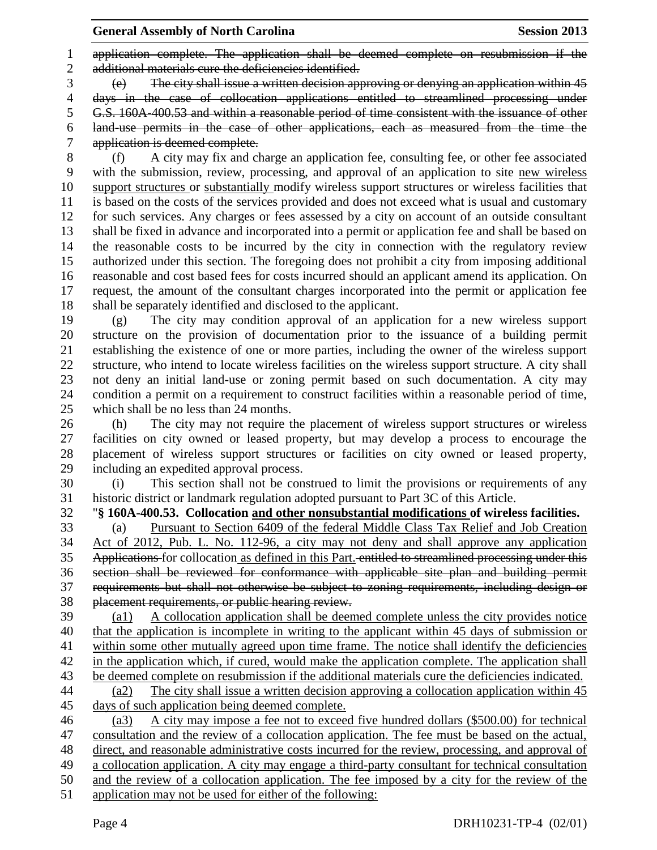application complete. The application shall be deemed complete on resubmission if the 2 additional materials cure the deficiencies identified.

 $\frac{3}{10}$  (e) The city shall issue a written decision approving or denying an application within 45

days in the case of collocation applications entitled to streamlined processing under

G.S. 160A-400.53 and within a reasonable period of time consistent with the issuance of other

 land-use permits in the case of other applications, each as measured from the time the application is deemed complete.

 (f) A city may fix and charge an application fee, consulting fee, or other fee associated with the submission, review, processing, and approval of an application to site new wireless support structures or substantially modify wireless support structures or wireless facilities that is based on the costs of the services provided and does not exceed what is usual and customary for such services. Any charges or fees assessed by a city on account of an outside consultant shall be fixed in advance and incorporated into a permit or application fee and shall be based on the reasonable costs to be incurred by the city in connection with the regulatory review authorized under this section. The foregoing does not prohibit a city from imposing additional reasonable and cost based fees for costs incurred should an applicant amend its application. On request, the amount of the consultant charges incorporated into the permit or application fee shall be separately identified and disclosed to the applicant.

 (g) The city may condition approval of an application for a new wireless support structure on the provision of documentation prior to the issuance of a building permit establishing the existence of one or more parties, including the owner of the wireless support structure, who intend to locate wireless facilities on the wireless support structure. A city shall not deny an initial land-use or zoning permit based on such documentation. A city may condition a permit on a requirement to construct facilities within a reasonable period of time, which shall be no less than 24 months.

 (h) The city may not require the placement of wireless support structures or wireless facilities on city owned or leased property, but may develop a process to encourage the placement of wireless support structures or facilities on city owned or leased property, including an expedited approval process.

 (i) This section shall not be construed to limit the provisions or requirements of any historic district or landmark regulation adopted pursuant to Part 3C of this Article.

## "**§ 160A-400.53. Collocation and other nonsubstantial modifications of wireless facilities.**

 (a) Pursuant to Section 6409 of the federal Middle Class Tax Relief and Job Creation Act of 2012, Pub. L. No. 112-96, a city may not deny and shall approve any application Applications for collocation as defined in this Part. entitled to streamlined processing under this section shall be reviewed for conformance with applicable site plan and building permit requirements but shall not otherwise be subject to zoning requirements, including design or placement requirements, or public hearing review.

 (a1) A collocation application shall be deemed complete unless the city provides notice that the application is incomplete in writing to the applicant within 45 days of submission or within some other mutually agreed upon time frame. The notice shall identify the deficiencies in the application which, if cured, would make the application complete. The application shall be deemed complete on resubmission if the additional materials cure the deficiencies indicated. (a2) The city shall issue a written decision approving a collocation application within 45 days of such application being deemed complete.

 (a3) A city may impose a fee not to exceed five hundred dollars (\$500.00) for technical consultation and the review of a collocation application. The fee must be based on the actual, direct, and reasonable administrative costs incurred for the review, processing, and approval of a collocation application. A city may engage a third-party consultant for technical consultation and the review of a collocation application. The fee imposed by a city for the review of the application may not be used for either of the following: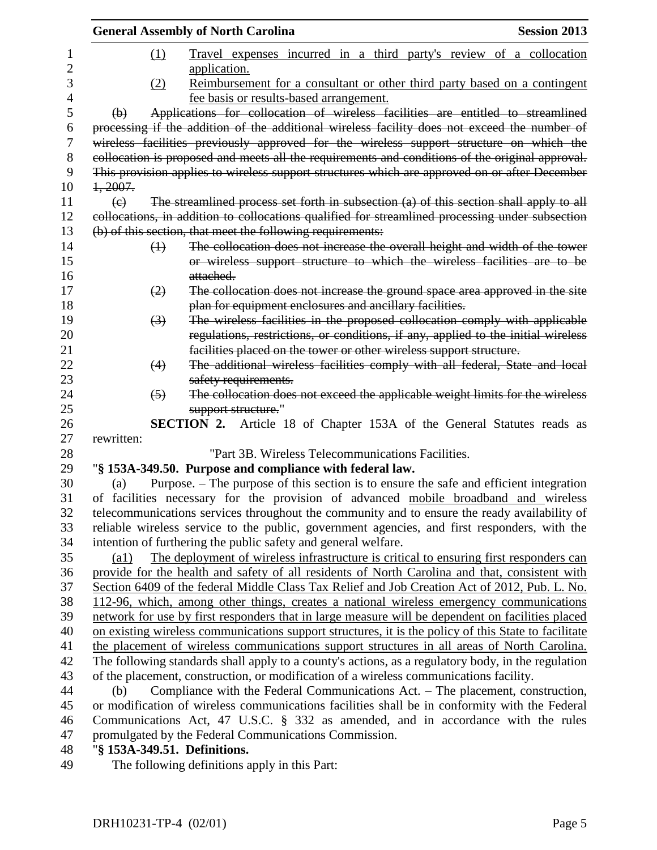|          | <b>General Assembly of North Carolina</b> |                                                                                                                                                                               | <b>Session 2013</b> |
|----------|-------------------------------------------|-------------------------------------------------------------------------------------------------------------------------------------------------------------------------------|---------------------|
| 1        |                                           | (1)<br>Travel expenses incurred in a third party's review of a collocation                                                                                                    |                     |
| 2        |                                           | application.                                                                                                                                                                  |                     |
| 3        |                                           | Reimbursement for a consultant or other third party based on a contingent<br>(2)                                                                                              |                     |
| 4        |                                           | fee basis or results-based arrangement.                                                                                                                                       |                     |
| 5        | $\bigoplus$                               | Applications for collocation of wireless facilities are entitled to streamlined                                                                                               |                     |
| 6        |                                           | processing if the addition of the additional wireless facility does not exceed the number of                                                                                  |                     |
| 7        |                                           | wireless facilities previously approved for the wireless support structure on which the                                                                                       |                     |
| 8        |                                           | collocation is proposed and meets all the requirements and conditions of the original approval.                                                                               |                     |
| 9        |                                           | This provision applies to wireless support structures which are approved on or after December                                                                                 |                     |
| 10       | 1,2007.                                   |                                                                                                                                                                               |                     |
| 11       | $\left(\epsilon\right)$                   | The streamlined process set forth in subsection (a) of this section shall apply to all                                                                                        |                     |
| 12       |                                           | collocations, in addition to collocations qualified for streamlined processing under subsection                                                                               |                     |
| 13       |                                           | (b) of this section, that meet the following requirements:                                                                                                                    |                     |
| 14       |                                           | The collocation does not increase the overall height and width of the tower<br>$\leftrightarrow$                                                                              |                     |
| 15       |                                           | or wireless support structure to which the wireless facilities are to be                                                                                                      |                     |
| 16       |                                           | attached.                                                                                                                                                                     |                     |
| 17       |                                           | The collocation does not increase the ground space area approved in the site<br>$\left( 2\right)$                                                                             |                     |
| 18       |                                           | plan for equipment enclosures and ancillary facilities.                                                                                                                       |                     |
| 19       |                                           | The wireless facilities in the proposed collocation comply with applicable<br>$\left(3\right)$                                                                                |                     |
| 20       |                                           | regulations, restrictions, or conditions, if any, applied to the initial wireless                                                                                             |                     |
| 21       |                                           | facilities placed on the tower or other wireless support structure.                                                                                                           |                     |
| 22       |                                           | The additional wireless facilities comply with all federal, State and local<br>(4)                                                                                            |                     |
| 23       |                                           | safety requirements.                                                                                                                                                          |                     |
| 24       |                                           | The collocation does not exceed the applicable weight limits for the wireless<br>$\left(5\right)$                                                                             |                     |
| 25       |                                           | support structure."                                                                                                                                                           |                     |
| 26       |                                           | <b>SECTION 2.</b> Article 18 of Chapter 153A of the General Statutes reads as                                                                                                 |                     |
| 27       | rewritten:                                | "Part 3B. Wireless Telecommunications Facilities.                                                                                                                             |                     |
| 28       |                                           |                                                                                                                                                                               |                     |
| 29<br>30 | (a)                                       | "§ 153A-349.50. Purpose and compliance with federal law.                                                                                                                      |                     |
| 31       |                                           | Purpose. – The purpose of this section is to ensure the safe and efficient integration<br>of facilities necessary for the provision of advanced mobile broadband and wireless |                     |
| 32       |                                           | telecommunications services throughout the community and to ensure the ready availability of                                                                                  |                     |
| 33       |                                           | reliable wireless service to the public, government agencies, and first responders, with the                                                                                  |                     |
| 34       |                                           | intention of furthering the public safety and general welfare.                                                                                                                |                     |
| 35       | $\left( a1\right)$                        | The deployment of wireless infrastructure is critical to ensuring first responders can                                                                                        |                     |
| 36       |                                           | provide for the health and safety of all residents of North Carolina and that, consistent with                                                                                |                     |
| 37       |                                           | Section 6409 of the federal Middle Class Tax Relief and Job Creation Act of 2012, Pub. L. No.                                                                                 |                     |
| 38       |                                           | 112-96, which, among other things, creates a national wireless emergency communications                                                                                       |                     |
| 39       |                                           | network for use by first responders that in large measure will be dependent on facilities placed                                                                              |                     |
| 40       |                                           | on existing wireless communications support structures, it is the policy of this State to facilitate                                                                          |                     |
| 41       |                                           | the placement of wireless communications support structures in all areas of North Carolina.                                                                                   |                     |
| 42       |                                           | The following standards shall apply to a county's actions, as a regulatory body, in the regulation                                                                            |                     |
| 43       |                                           | of the placement, construction, or modification of a wireless communications facility.                                                                                        |                     |
| 44       | (b)                                       | Compliance with the Federal Communications Act. – The placement, construction,                                                                                                |                     |
| 45       |                                           | or modification of wireless communications facilities shall be in conformity with the Federal                                                                                 |                     |
| 46       |                                           | Communications Act, 47 U.S.C. § 332 as amended, and in accordance with the rules                                                                                              |                     |
| 47       |                                           | promulgated by the Federal Communications Commission.                                                                                                                         |                     |
| 48       |                                           | "§ 153A-349.51. Definitions.                                                                                                                                                  |                     |
| 49       |                                           | The following definitions apply in this Part:                                                                                                                                 |                     |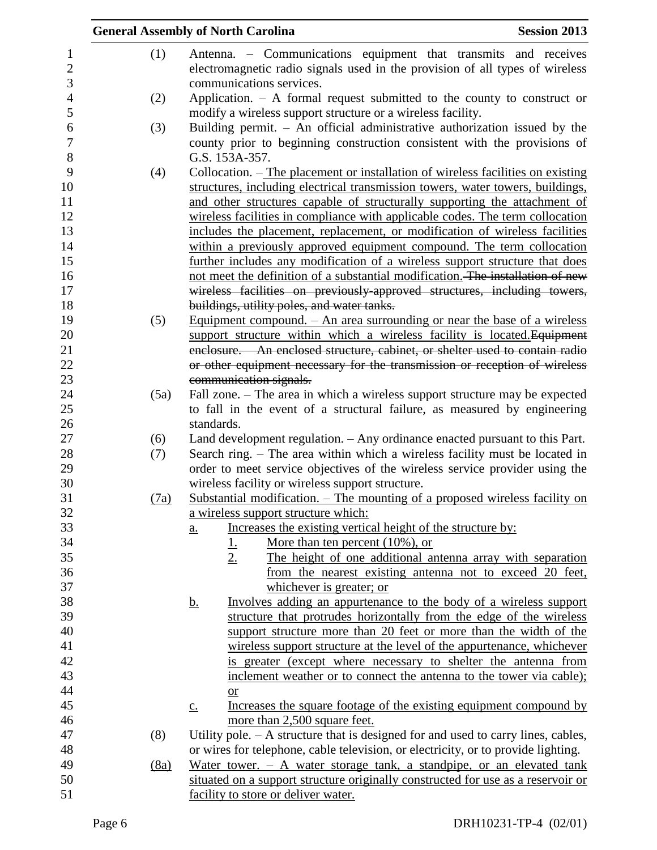|      | <b>Session 2013</b><br><b>General Assembly of North Carolina</b>                                                                                                         |  |
|------|--------------------------------------------------------------------------------------------------------------------------------------------------------------------------|--|
| (1)  | Antenna. – Communications equipment that transmits and receives<br>electromagnetic radio signals used in the provision of all types of wireless                          |  |
|      | communications services.<br>Application. $-$ A formal request submitted to the county to construct or                                                                    |  |
| (2)  | modify a wireless support structure or a wireless facility.                                                                                                              |  |
| (3)  | Building permit. $-$ An official administrative authorization issued by the<br>county prior to beginning construction consistent with the provisions of                  |  |
| (4)  | G.S. 153A-357.<br>Collocation. – The placement or installation of wireless facilities on existing                                                                        |  |
|      | structures, including electrical transmission towers, water towers, buildings,<br>and other structures capable of structurally supporting the attachment of              |  |
|      | wireless facilities in compliance with applicable codes. The term collocation                                                                                            |  |
|      | includes the placement, replacement, or modification of wireless facilities                                                                                              |  |
|      | within a previously approved equipment compound. The term collocation                                                                                                    |  |
|      | further includes any modification of a wireless support structure that does                                                                                              |  |
|      | not meet the definition of a substantial modification. The installation of new                                                                                           |  |
|      | wireless facilities on previously-approved structures, including towers,<br>buildings, utility poles, and water tanks.                                                   |  |
| (5)  | Equipment compound. $-$ An area surrounding or near the base of a wireless                                                                                               |  |
|      | support structure within which a wireless facility is located. Equipment                                                                                                 |  |
|      | enclosure. - An enclosed structure, cabinet, or shelter used to contain radio                                                                                            |  |
|      | or other equipment necessary for the transmission or reception of wireless                                                                                               |  |
|      | communication signals.                                                                                                                                                   |  |
| (5a) | Fall zone. - The area in which a wireless support structure may be expected                                                                                              |  |
|      | to fall in the event of a structural failure, as measured by engineering                                                                                                 |  |
|      | standards.                                                                                                                                                               |  |
| (6)  | Land development regulation. - Any ordinance enacted pursuant to this Part.                                                                                              |  |
| (7)  | Search ring. – The area within which a wireless facility must be located in                                                                                              |  |
|      | order to meet service objectives of the wireless service provider using the                                                                                              |  |
|      | wireless facility or wireless support structure.                                                                                                                         |  |
| (7a) | Substantial modification. - The mounting of a proposed wireless facility on                                                                                              |  |
|      | a wireless support structure which:                                                                                                                                      |  |
|      | Increases the existing vertical height of the structure by:<br>a.                                                                                                        |  |
|      | More than ten percent $(10\%)$ , or                                                                                                                                      |  |
|      | $\frac{1}{2}$<br>The height of one additional antenna array with separation                                                                                              |  |
|      | from the nearest existing antenna not to exceed 20 feet,                                                                                                                 |  |
|      | whichever is greater; or                                                                                                                                                 |  |
|      | Involves adding an appurtenance to the body of a wireless support<br><u>b.</u>                                                                                           |  |
|      | structure that protrudes horizontally from the edge of the wireless                                                                                                      |  |
|      | support structure more than 20 feet or more than the width of the                                                                                                        |  |
|      | wireless support structure at the level of the appurtenance, whichever                                                                                                   |  |
|      | is greater (except where necessary to shelter the antenna from                                                                                                           |  |
|      | inclement weather or to connect the antenna to the tower via cable);                                                                                                     |  |
|      |                                                                                                                                                                          |  |
|      | or<br>Increases the square footage of the existing equipment compound by                                                                                                 |  |
|      | $\underline{c}$ .<br>more than 2,500 square feet.                                                                                                                        |  |
|      |                                                                                                                                                                          |  |
| (8)  | Utility pole. $- A$ structure that is designed for and used to carry lines, cables,<br>or wires for telephone, cable television, or electricity, or to provide lighting. |  |
|      | Water tower. $-$ A water storage tank, a standpipe, or an elevated tank                                                                                                  |  |
| (8a) | situated on a support structure originally constructed for use as a reservoir or                                                                                         |  |
|      | facility to store or deliver water.                                                                                                                                      |  |
|      |                                                                                                                                                                          |  |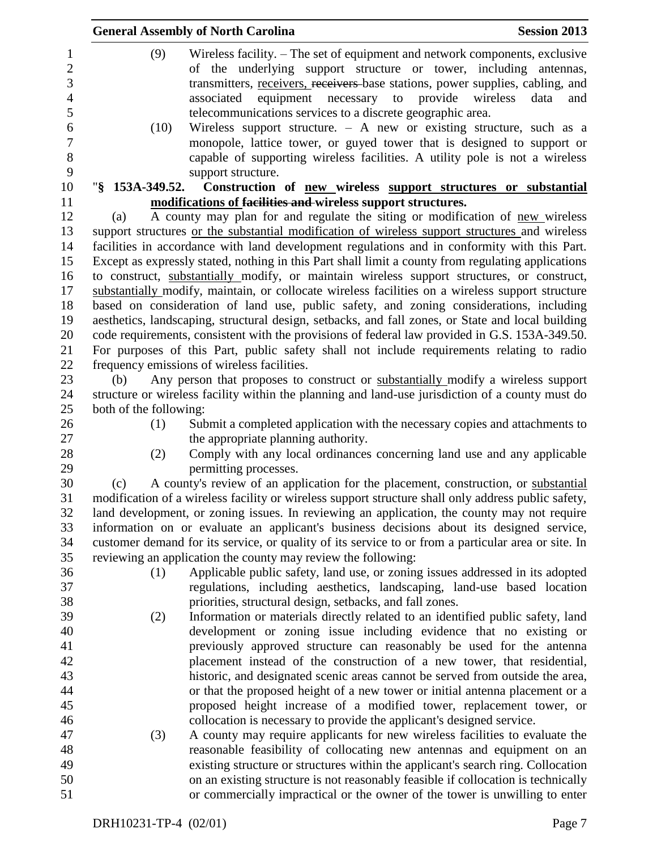|                        | <b>General Assembly of North Carolina</b>                                                                                                                                                                                                                                                                                                     | <b>Session 2013</b>     |
|------------------------|-----------------------------------------------------------------------------------------------------------------------------------------------------------------------------------------------------------------------------------------------------------------------------------------------------------------------------------------------|-------------------------|
| (9)                    | Wireless facility. - The set of equipment and network components, exclusive<br>of the underlying support structure or tower, including antennas,<br>transmitters, receivers, receivers base stations, power supplies, cabling, and<br>associated equipment necessary to provide<br>telecommunications services to a discrete geographic area. | wireless<br>data<br>and |
| (10)                   | Wireless support structure. $-$ A new or existing structure, such as a<br>monopole, lattice tower, or guyed tower that is designed to support or<br>capable of supporting wireless facilities. A utility pole is not a wireless<br>support structure.                                                                                         |                         |
| "§ 153A-349.52.        | Construction of new wireless support structures or substantial                                                                                                                                                                                                                                                                                |                         |
|                        | modifications of facilities and wireless support structures.                                                                                                                                                                                                                                                                                  |                         |
| (a)                    | A county may plan for and regulate the siting or modification of new wireless                                                                                                                                                                                                                                                                 |                         |
|                        | support structures or the substantial modification of wireless support structures and wireless                                                                                                                                                                                                                                                |                         |
|                        | facilities in accordance with land development regulations and in conformity with this Part.                                                                                                                                                                                                                                                  |                         |
|                        | Except as expressly stated, nothing in this Part shall limit a county from regulating applications                                                                                                                                                                                                                                            |                         |
|                        | to construct, substantially modify, or maintain wireless support structures, or construct,                                                                                                                                                                                                                                                    |                         |
|                        | substantially modify, maintain, or collocate wireless facilities on a wireless support structure                                                                                                                                                                                                                                              |                         |
|                        | based on consideration of land use, public safety, and zoning considerations, including                                                                                                                                                                                                                                                       |                         |
|                        | aesthetics, landscaping, structural design, setbacks, and fall zones, or State and local building                                                                                                                                                                                                                                             |                         |
|                        | code requirements, consistent with the provisions of federal law provided in G.S. 153A-349.50.                                                                                                                                                                                                                                                |                         |
|                        | For purposes of this Part, public safety shall not include requirements relating to radio                                                                                                                                                                                                                                                     |                         |
|                        | frequency emissions of wireless facilities.                                                                                                                                                                                                                                                                                                   |                         |
| (b)                    | Any person that proposes to construct or substantially modify a wireless support                                                                                                                                                                                                                                                              |                         |
|                        | structure or wireless facility within the planning and land-use jurisdiction of a county must do                                                                                                                                                                                                                                              |                         |
| both of the following: |                                                                                                                                                                                                                                                                                                                                               |                         |
| (1)                    | Submit a completed application with the necessary copies and attachments to                                                                                                                                                                                                                                                                   |                         |
|                        | the appropriate planning authority.                                                                                                                                                                                                                                                                                                           |                         |
| (2)                    | Comply with any local ordinances concerning land use and any applicable                                                                                                                                                                                                                                                                       |                         |
|                        | permitting processes.                                                                                                                                                                                                                                                                                                                         |                         |
| (c)                    | A county's review of an application for the placement, construction, or substantial                                                                                                                                                                                                                                                           |                         |
|                        | modification of a wireless facility or wireless support structure shall only address public safety,<br>land development, or zoning issues. In reviewing an application, the county may not require                                                                                                                                            |                         |
|                        | information on or evaluate an applicant's business decisions about its designed service,                                                                                                                                                                                                                                                      |                         |
|                        | customer demand for its service, or quality of its service to or from a particular area or site. In                                                                                                                                                                                                                                           |                         |
|                        | reviewing an application the county may review the following:                                                                                                                                                                                                                                                                                 |                         |
| (1)                    | Applicable public safety, land use, or zoning issues addressed in its adopted                                                                                                                                                                                                                                                                 |                         |
|                        | regulations, including aesthetics, landscaping, land-use based location                                                                                                                                                                                                                                                                       |                         |
|                        | priorities, structural design, setbacks, and fall zones.                                                                                                                                                                                                                                                                                      |                         |
| (2)                    | Information or materials directly related to an identified public safety, land                                                                                                                                                                                                                                                                |                         |
|                        | development or zoning issue including evidence that no existing or                                                                                                                                                                                                                                                                            |                         |
|                        | previously approved structure can reasonably be used for the antenna                                                                                                                                                                                                                                                                          |                         |
|                        | placement instead of the construction of a new tower, that residential,                                                                                                                                                                                                                                                                       |                         |
|                        | historic, and designated scenic areas cannot be served from outside the area,                                                                                                                                                                                                                                                                 |                         |
|                        | or that the proposed height of a new tower or initial antenna placement or a                                                                                                                                                                                                                                                                  |                         |
|                        | proposed height increase of a modified tower, replacement tower, or                                                                                                                                                                                                                                                                           |                         |
|                        | collocation is necessary to provide the applicant's designed service.                                                                                                                                                                                                                                                                         |                         |
| (3)                    | A county may require applicants for new wireless facilities to evaluate the                                                                                                                                                                                                                                                                   |                         |
|                        | reasonable feasibility of collocating new antennas and equipment on an                                                                                                                                                                                                                                                                        |                         |
|                        | existing structure or structures within the applicant's search ring. Collocation                                                                                                                                                                                                                                                              |                         |
|                        | on an existing structure is not reasonably feasible if collocation is technically                                                                                                                                                                                                                                                             |                         |
|                        | or commercially impractical or the owner of the tower is unwilling to enter                                                                                                                                                                                                                                                                   |                         |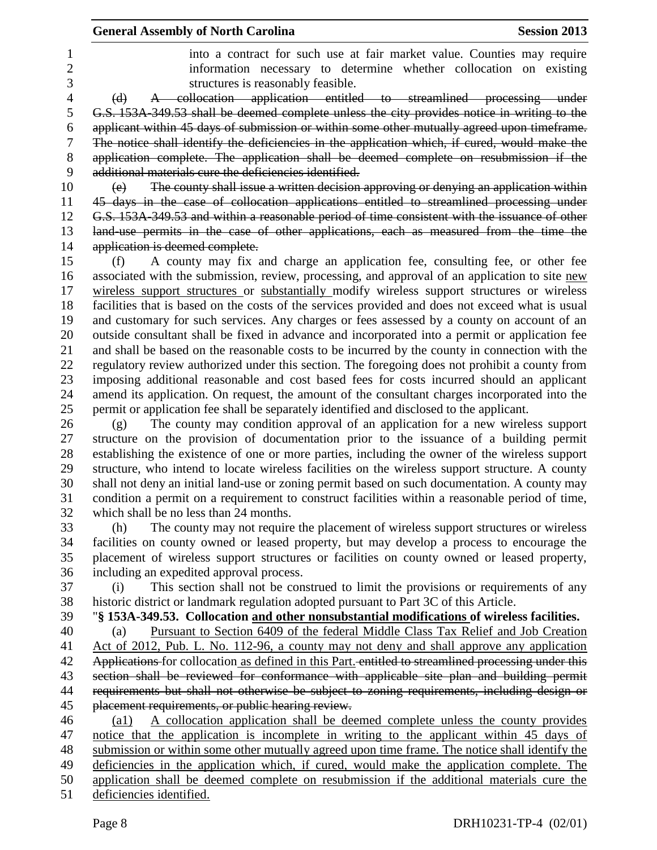|    | <b>General Assembly of North Carolina</b><br><b>Session 2013</b>                                    |  |
|----|-----------------------------------------------------------------------------------------------------|--|
| 1  | into a contract for such use at fair market value. Counties may require                             |  |
| 2  | information necessary to determine whether collocation on existing                                  |  |
| 3  | structures is reasonably feasible.                                                                  |  |
| 4  | A collocation application entitled to streamlined processing under<br>(d)                           |  |
| 5  | G.S. 153A-349.53 shall be deemed complete unless the city provides notice in writing to the         |  |
| 6  | applicant within 45 days of submission or within some other mutually agreed upon timeframe.         |  |
| 7  | The notice shall identify the deficiencies in the application which, if cured, would make the       |  |
| 8  | application complete. The application shall be deemed complete on resubmission if the               |  |
| 9  | additional materials cure the deficiencies identified.                                              |  |
| 10 | The county shall issue a written decision approving or denying an application within<br>(e)         |  |
| 11 | 45 days in the case of collocation applications entitled to streamlined processing under            |  |
| 12 | G.S. 153A-349.53 and within a reasonable period of time consistent with the issuance of other       |  |
| 13 | land-use permits in the case of other applications, each as measured from the time the              |  |
| 14 | application is deemed complete.                                                                     |  |
| 15 | A county may fix and charge an application fee, consulting fee, or other fee<br>(f)                 |  |
| 16 | associated with the submission, review, processing, and approval of an application to site new      |  |
| 17 | wireless support structures or substantially modify wireless support structures or wireless         |  |
| 18 | facilities that is based on the costs of the services provided and does not exceed what is usual    |  |
| 19 | and customary for such services. Any charges or fees assessed by a county on account of an          |  |
| 20 | outside consultant shall be fixed in advance and incorporated into a permit or application fee      |  |
| 21 | and shall be based on the reasonable costs to be incurred by the county in connection with the      |  |
| 22 | regulatory review authorized under this section. The foregoing does not prohibit a county from      |  |
| 23 | imposing additional reasonable and cost based fees for costs incurred should an applicant           |  |
| 24 | amend its application. On request, the amount of the consultant charges incorporated into the       |  |
| 25 | permit or application fee shall be separately identified and disclosed to the applicant.            |  |
| 26 | The county may condition approval of an application for a new wireless support<br>(g)               |  |
| 27 | structure on the provision of documentation prior to the issuance of a building permit              |  |
| 28 | establishing the existence of one or more parties, including the owner of the wireless support      |  |
| 29 | structure, who intend to locate wireless facilities on the wireless support structure. A county     |  |
| 30 | shall not deny an initial land-use or zoning permit based on such documentation. A county may       |  |
| 31 | condition a permit on a requirement to construct facilities within a reasonable period of time,     |  |
| 32 | which shall be no less than 24 months.                                                              |  |
| 33 | The county may not require the placement of wireless support structures or wireless<br>(h)          |  |
| 34 | facilities on county owned or leased property, but may develop a process to encourage the           |  |
| 35 | placement of wireless support structures or facilities on county owned or leased property,          |  |
| 36 | including an expedited approval process.                                                            |  |
| 37 | This section shall not be construed to limit the provisions or requirements of any<br>(i)           |  |
| 38 | historic district or landmark regulation adopted pursuant to Part 3C of this Article.               |  |
| 39 | "§ 153A-349.53. Collocation and other nonsubstantial modifications of wireless facilities.          |  |
| 40 | Pursuant to Section 6409 of the federal Middle Class Tax Relief and Job Creation<br>(a)             |  |
| 41 | Act of 2012, Pub. L. No. 112-96, a county may not deny and shall approve any application            |  |
| 42 | Applications for collocation as defined in this Part. entitled to streamlined processing under this |  |
| 43 | section shall be reviewed for conformance with applicable site plan and building permit             |  |
| 44 | requirements but shall not otherwise be subject to zoning requirements, including design or         |  |
| 45 | placement requirements, or public hearing review.                                                   |  |
| 46 | A collocation application shall be deemed complete unless the county provides<br>(al)               |  |
| 47 | notice that the application is incomplete in writing to the applicant within 45 days of             |  |
| 48 | submission or within some other mutually agreed upon time frame. The notice shall identify the      |  |
| 49 | deficiencies in the application which, if cured, would make the application complete. The           |  |
| 50 | application shall be deemed complete on resubmission if the additional materials cure the           |  |
| 51 | deficiencies identified.                                                                            |  |